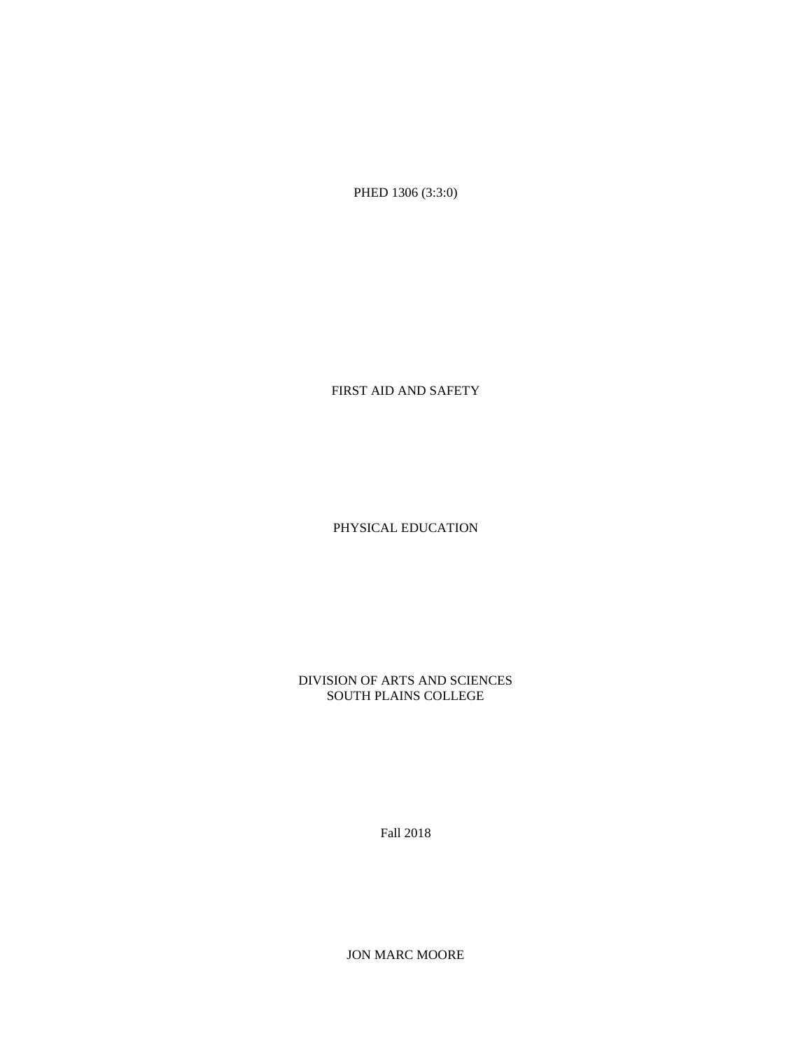PHED 1306 (3:3:0)

FIRST AID AND SAFETY

PHYSICAL EDUCATION

DIVISION OF ARTS AND SCIENCES SOUTH PLAINS COLLEGE

Fall 2018

JON MARC MOORE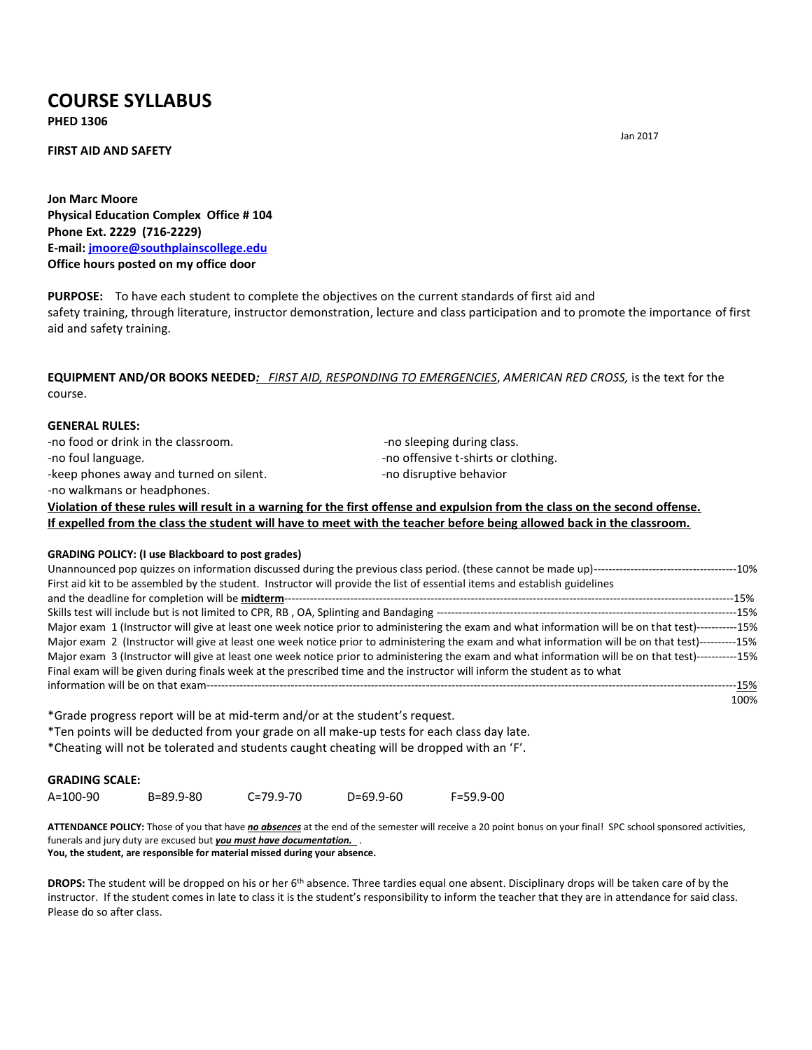# **COURSE SYLLABUS**

**PHED 1306**

#### **FIRST AID AND SAFETY**

**Jon Marc Moore Physical Education Complex Office # 104 Phone Ext. 2229 (716-2229) E-mail: [jmoore@southplainscollege.edu](mailto:jmoore@southplainscollege.edu) Office hours posted on my office door**

**PURPOSE:** To have each student to complete the objectives on the current standards of first aid and safety training, through literature, instructor demonstration, lecture and class participation and to promote the importance of first aid and safety training.

### **EQUIPMENT AND/OR BOOKS NEEDED***: FIRST AID, RESPONDING TO EMERGENCIES*, *AMERICAN RED CROSS,* is the text for the course.

#### **GENERAL RULES:**

-no food or drink in the classroom. The state of the state of seeping during class. -no foul language.  $\blacksquare$ -keep phones away and turned on silent. The same constant of the phones are and turned on silent. -no walkmans or headphones.

**Violation of these rules will result in a warning for the first offense and expulsion from the class on the second offense. If expelled from the class the student will have to meet with the teacher before being allowed back in the classroom.**

#### **GRADING POLICY: (I use Blackboard to post grades)**

| First aid kit to be assembled by the student. Instructor will provide the list of essential items and establish guidelines                           |      |
|------------------------------------------------------------------------------------------------------------------------------------------------------|------|
|                                                                                                                                                      | -15% |
|                                                                                                                                                      |      |
| Major exam 1 (Instructor will give at least one week notice prior to administering the exam and what information will be on that test)-----------15% |      |
| Major exam 2 (Instructor will give at least one week notice prior to administering the exam and what information will be on that test)----------15%  |      |
| Major exam 3 (Instructor will give at least one week notice prior to administering the exam and what information will be on that test)-----------15% |      |
| Final exam will be given during finals week at the prescribed time and the instructor will inform the student as to what                             |      |
|                                                                                                                                                      | -15% |
|                                                                                                                                                      | 100% |

\*Grade progress report will be at mid-term and/or at the student's request. \*Ten points will be deducted from your grade on all make-up tests for each class day late. \*Cheating will not be tolerated and students caught cheating will be dropped with an 'F'.

#### **GRADING SCALE:**

A=100-90 B=89.9-80 C=79.9-70 D=69.9-60 F=59.9-00

**ATTENDANCE POLICY:** Those of you that have *no absences* at the end of the semester will receive a 20 point bonus on your final! SPC school sponsored activities, funerals and jury duty are excused but *you must have documentation.* . **You, the student, are responsible for material missed during your absence.** 

**DROPS:** The student will be dropped on his or her 6th absence. Three tardies equal one absent. Disciplinary drops will be taken care of by the instructor. If the student comes in late to class it is the student's responsibility to inform the teacher that they are in attendance for said class. Please do so after class.

Jan 2017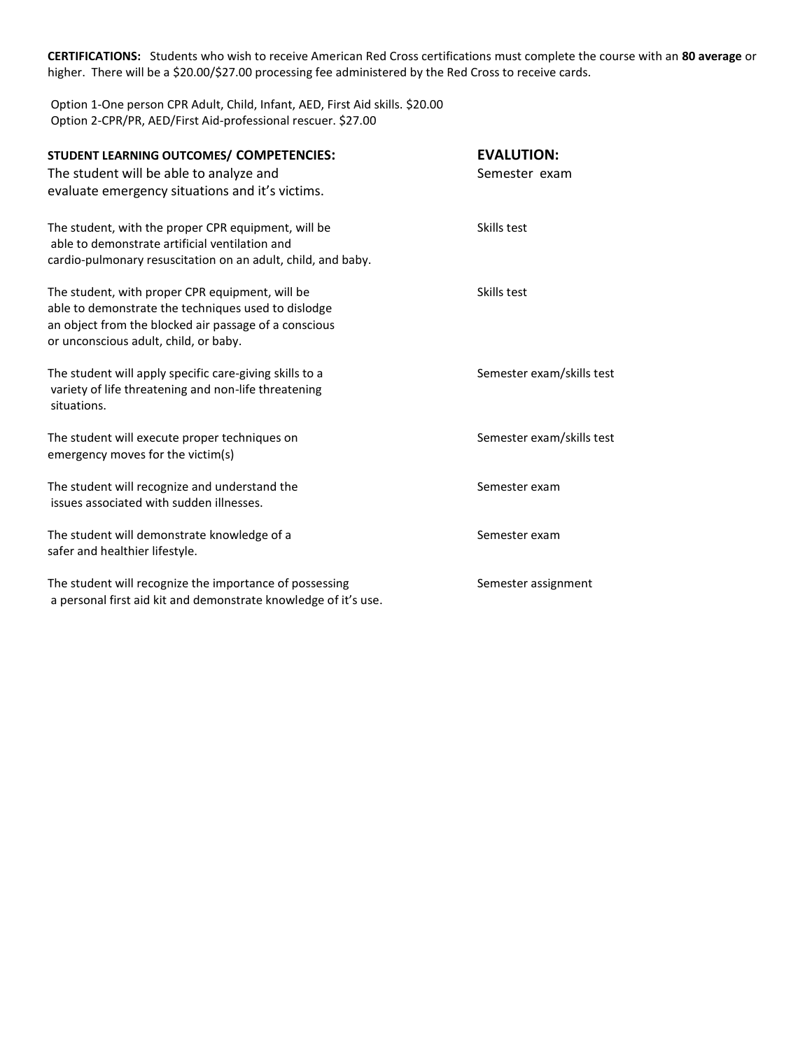**CERTIFICATIONS:** Students who wish to receive American Red Cross certifications must complete the course with an **80 average** or higher. There will be a \$20.00/\$27.00 processing fee administered by the Red Cross to receive cards.

Option 1-One person CPR Adult, Child, Infant, AED, First Aid skills. \$20.00 Option 2-CPR/PR, AED/First Aid-professional rescuer. \$27.00

| STUDENT LEARNING OUTCOMES/ COMPETENCIES:<br>The student will be able to analyze and<br>evaluate emergency situations and it's victims.                                                                   | <b>EVALUTION:</b><br>Semester exam |
|----------------------------------------------------------------------------------------------------------------------------------------------------------------------------------------------------------|------------------------------------|
| The student, with the proper CPR equipment, will be<br>able to demonstrate artificial ventilation and<br>cardio-pulmonary resuscitation on an adult, child, and baby.                                    | Skills test                        |
| The student, with proper CPR equipment, will be<br>able to demonstrate the techniques used to dislodge<br>an object from the blocked air passage of a conscious<br>or unconscious adult, child, or baby. | Skills test                        |
| The student will apply specific care-giving skills to a<br>variety of life threatening and non-life threatening<br>situations.                                                                           | Semester exam/skills test          |
| The student will execute proper techniques on<br>emergency moves for the victim(s)                                                                                                                       | Semester exam/skills test          |
| The student will recognize and understand the<br>issues associated with sudden illnesses.                                                                                                                | Semester exam                      |
| The student will demonstrate knowledge of a<br>safer and healthier lifestyle.                                                                                                                            | Semester exam                      |
| The student will recognize the importance of possessing<br>a personal first aid kit and demonstrate knowledge of it's use.                                                                               | Semester assignment                |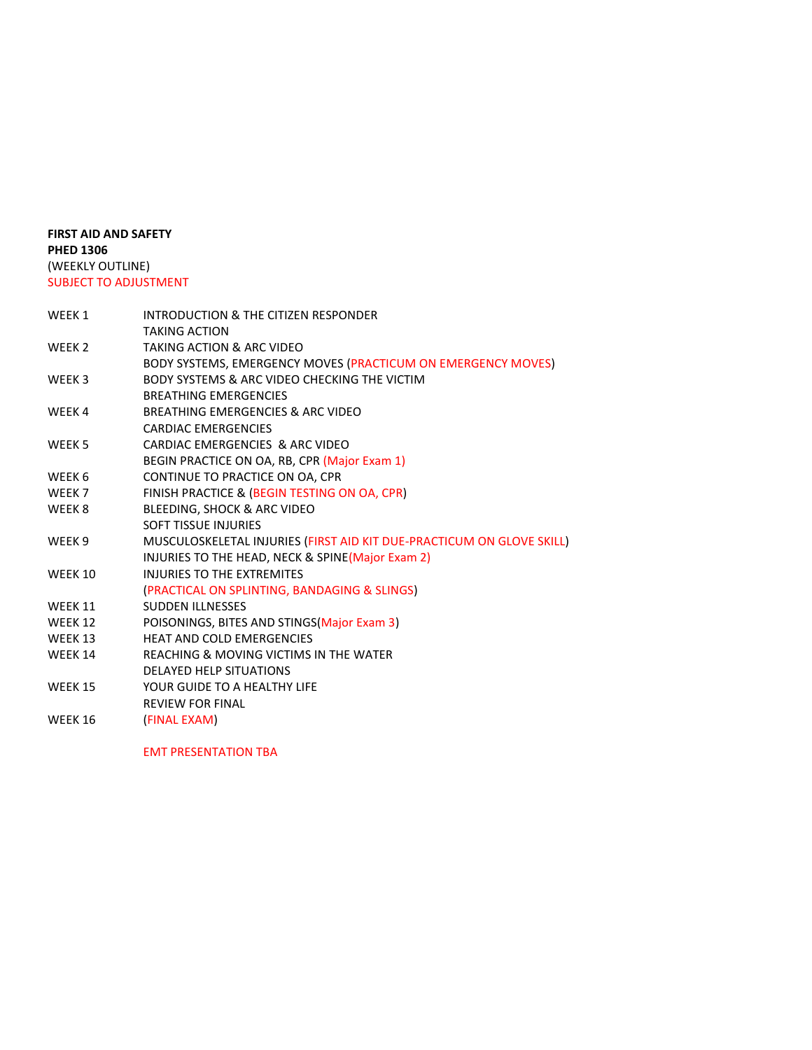## **FIRST AID AND SAFETY PHED 1306** (WEEKLY OUTLINE) SUBJECT TO ADJUSTMENT

| WEEK 1         | INTRODUCTION & THE CITIZEN RESPONDER                                  |
|----------------|-----------------------------------------------------------------------|
|                | <b>TAKING ACTION</b>                                                  |
| WEEK 2         | TAKING ACTION & ARC VIDEO                                             |
|                | BODY SYSTEMS, EMERGENCY MOVES (PRACTICUM ON EMERGENCY MOVES)          |
| WEEK 3         | BODY SYSTEMS & ARC VIDEO CHECKING THE VICTIM                          |
|                | <b>BREATHING EMERGENCIES</b>                                          |
| WEEK 4         | BREATHING EMERGENCIES & ARC VIDEO                                     |
|                | <b>CARDIAC EMERGENCIES</b>                                            |
| WEEK 5         | CARDIAC EMERGENCIES & ARC VIDEO                                       |
|                | BEGIN PRACTICE ON OA, RB, CPR (Major Exam 1)                          |
| WEEK 6         | CONTINUE TO PRACTICE ON OA, CPR                                       |
| WEEK 7         | FINISH PRACTICE & (BEGIN TESTING ON OA, CPR)                          |
| WEEK 8         | BLEEDING, SHOCK & ARC VIDEO                                           |
|                | <b>SOFT TISSUE INJURIES</b>                                           |
| WEEK 9         | MUSCULOSKELETAL INJURIES (FIRST AID KIT DUE-PRACTICUM ON GLOVE SKILL) |
|                | INJURIES TO THE HEAD, NECK & SPINE(Major Exam 2)                      |
| <b>WEEK 10</b> | <b>INJURIES TO THE EXTREMITES</b>                                     |
|                | (PRACTICAL ON SPLINTING, BANDAGING & SLINGS)                          |
| WEEK 11        | <b>SUDDEN ILLNESSES</b>                                               |
| WEEK 12        | POISONINGS, BITES AND STINGS (Major Exam 3)                           |
| WEEK 13        | <b>HEAT AND COLD EMERGENCIES</b>                                      |
| WEEK 14        | REACHING & MOVING VICTIMS IN THE WATER                                |
|                | <b>DELAYED HELP SITUATIONS</b>                                        |
| <b>WEEK 15</b> | YOUR GUIDE TO A HEALTHY LIFE                                          |
|                | <b>REVIEW FOR FINAL</b>                                               |
| WEEK 16        | (FINAL EXAM)                                                          |
|                |                                                                       |

EMT PRESENTATION TBA